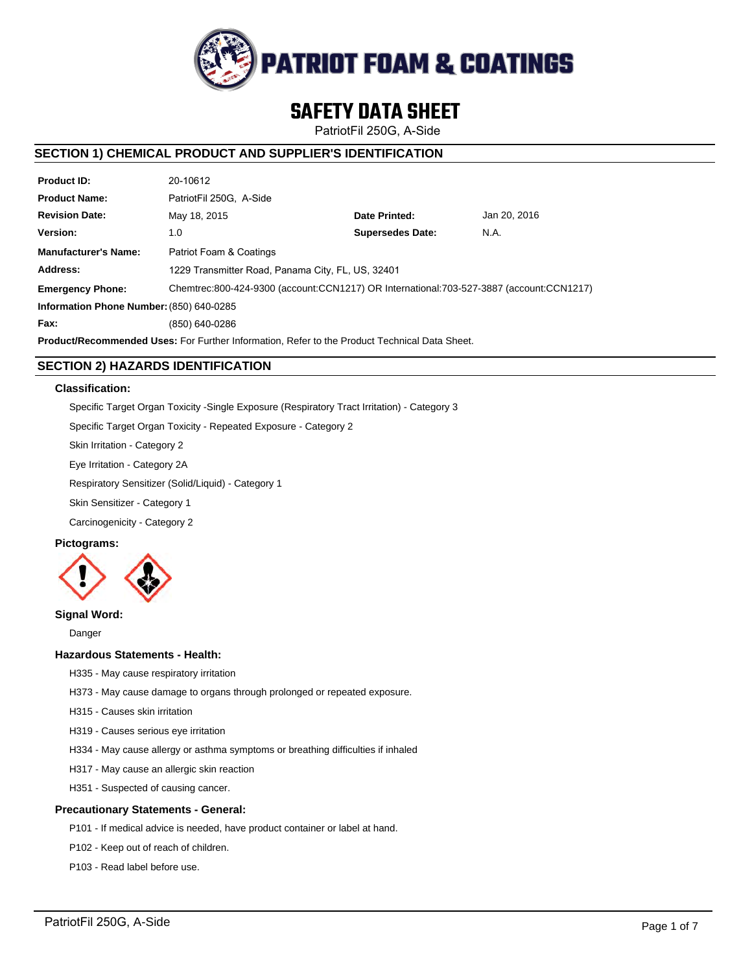

# **SAFETY DATA SHEET**

PatriotFil 250G, A-Side

# **SECTION 1) CHEMICAL PRODUCT AND SUPPLIER'S IDENTIFICATION**

| <b>Product ID:</b>                                                                                   | 20-10612                                                                                |                         |              |  |  |
|------------------------------------------------------------------------------------------------------|-----------------------------------------------------------------------------------------|-------------------------|--------------|--|--|
| <b>Product Name:</b>                                                                                 | PatriotFil 250G. A-Side                                                                 |                         |              |  |  |
| <b>Revision Date:</b>                                                                                | May 18, 2015                                                                            | Date Printed:           | Jan 20, 2016 |  |  |
| Version:                                                                                             | 1.0                                                                                     | <b>Supersedes Date:</b> | N.A.         |  |  |
| <b>Manufacturer's Name:</b>                                                                          | Patriot Foam & Coatings                                                                 |                         |              |  |  |
| Address:                                                                                             | 1229 Transmitter Road, Panama City, FL, US, 32401                                       |                         |              |  |  |
| <b>Emergency Phone:</b>                                                                              | Chemtrec:800-424-9300 (account:CCN1217) OR International:703-527-3887 (account:CCN1217) |                         |              |  |  |
| Information Phone Number: (850) 640-0285                                                             |                                                                                         |                         |              |  |  |
| Fax:                                                                                                 | (850) 640-0286                                                                          |                         |              |  |  |
| <b>Product/Recommended Uses:</b> For Further Information, Refer to the Product Technical Data Sheet. |                                                                                         |                         |              |  |  |

# **SECTION 2) HAZARDS IDENTIFICATION**

## **Classification:**

Specific Target Organ Toxicity -Single Exposure (Respiratory Tract Irritation) - Category 3

Specific Target Organ Toxicity - Repeated Exposure - Category 2

Skin Irritation - Category 2

Eye Irritation - Category 2A

Respiratory Sensitizer (Solid/Liquid) - Category 1

Skin Sensitizer - Category 1

Carcinogenicity - Category 2

# **Pictograms:**



# **Signal Word:**

Danger

# **Hazardous Statements - Health:**

- H335 May cause respiratory irritation
- H373 May cause damage to organs through prolonged or repeated exposure.
- H315 Causes skin irritation
- H319 Causes serious eye irritation
- H334 May cause allergy or asthma symptoms or breathing difficulties if inhaled
- H317 May cause an allergic skin reaction
- H351 Suspected of causing cancer.

## **Precautionary Statements - General:**

- P101 If medical advice is needed, have product container or label at hand.
- P102 Keep out of reach of children.
- P103 Read label before use.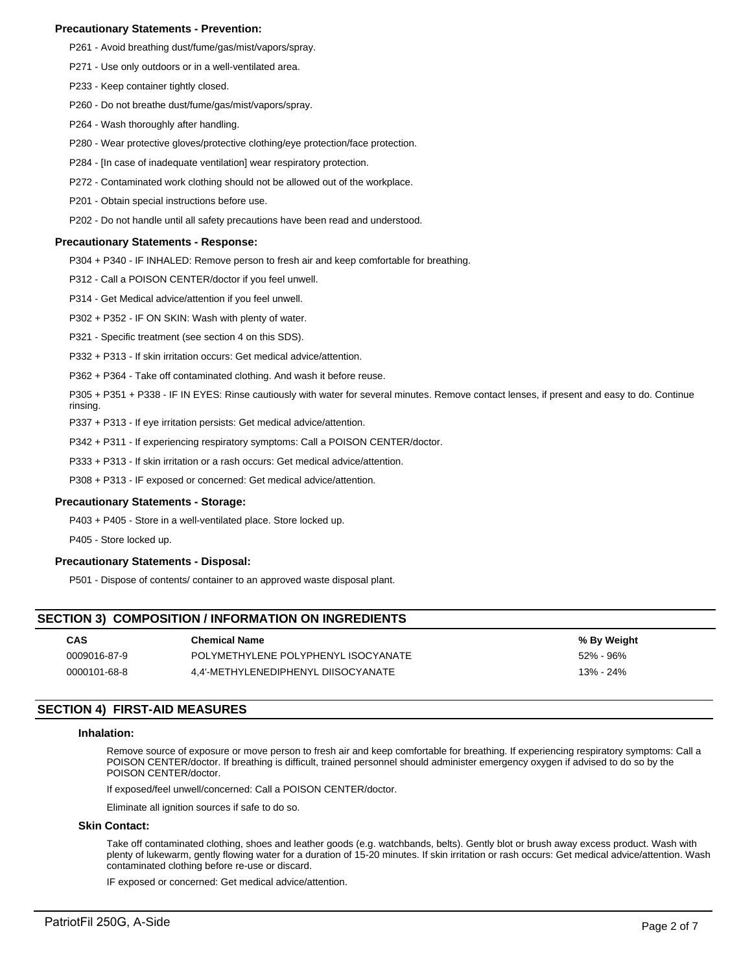## **Precautionary Statements - Prevention:**

- P261 Avoid breathing dust/fume/gas/mist/vapors/spray.
- P271 Use only outdoors or in a well-ventilated area.
- P233 Keep container tightly closed.
- P260 Do not breathe dust/fume/gas/mist/vapors/spray.
- P264 Wash thoroughly after handling.
- P280 Wear protective gloves/protective clothing/eye protection/face protection.
- P284 [In case of inadequate ventilation] wear respiratory protection.
- P272 Contaminated work clothing should not be allowed out of the workplace.
- P201 Obtain special instructions before use.
- P202 Do not handle until all safety precautions have been read and understood.

#### **Precautionary Statements - Response:**

P304 + P340 - IF INHALED: Remove person to fresh air and keep comfortable for breathing.

P312 - Call a POISON CENTER/doctor if you feel unwell.

- P314 Get Medical advice/attention if you feel unwell.
- P302 + P352 IF ON SKIN: Wash with plenty of water.
- P321 Specific treatment (see section 4 on this SDS).
- P332 + P313 If skin irritation occurs: Get medical advice/attention.
- P362 + P364 Take off contaminated clothing. And wash it before reuse.
- P305 + P351 + P338 IF IN EYES: Rinse cautiously with water for several minutes. Remove contact lenses, if present and easy to do. Continue rinsing.
- P337 + P313 If eye irritation persists: Get medical advice/attention.
- P342 + P311 If experiencing respiratory symptoms: Call a POISON CENTER/doctor.
- P333 + P313 If skin irritation or a rash occurs: Get medical advice/attention.
- P308 + P313 IF exposed or concerned: Get medical advice/attention.

## **Precautionary Statements - Storage:**

P403 + P405 - Store in a well-ventilated place. Store locked up.

P405 - Store locked up.

## **Precautionary Statements - Disposal:**

P501 - Dispose of contents/ container to an approved waste disposal plant.

# **SECTION 3) COMPOSITION / INFORMATION ON INGREDIENTS**

| <b>CAS</b>   | <b>Chemical Name</b>                | % By Weight |
|--------------|-------------------------------------|-------------|
| 0009016-87-9 | POLYMETHYLENE POLYPHENYL ISOCYANATE | 52% - 96%   |
| 0000101-68-8 | 4.4'-METHYLENEDIPHENYL DIISOCYANATE | 13% - 24%   |

# **SECTION 4) FIRST-AID MEASURES**

#### **Inhalation:**

Remove source of exposure or move person to fresh air and keep comfortable for breathing. If experiencing respiratory symptoms: Call a POISON CENTER/doctor. If breathing is difficult, trained personnel should administer emergency oxygen if advised to do so by the POISON CENTER/doctor.

If exposed/feel unwell/concerned: Call a POISON CENTER/doctor.

Eliminate all ignition sources if safe to do so.

#### **Skin Contact:**

Take off contaminated clothing, shoes and leather goods (e.g. watchbands, belts). Gently blot or brush away excess product. Wash with plenty of lukewarm, gently flowing water for a duration of 15-20 minutes. If skin irritation or rash occurs: Get medical advice/attention. Wash contaminated clothing before re-use or discard.

IF exposed or concerned: Get medical advice/attention.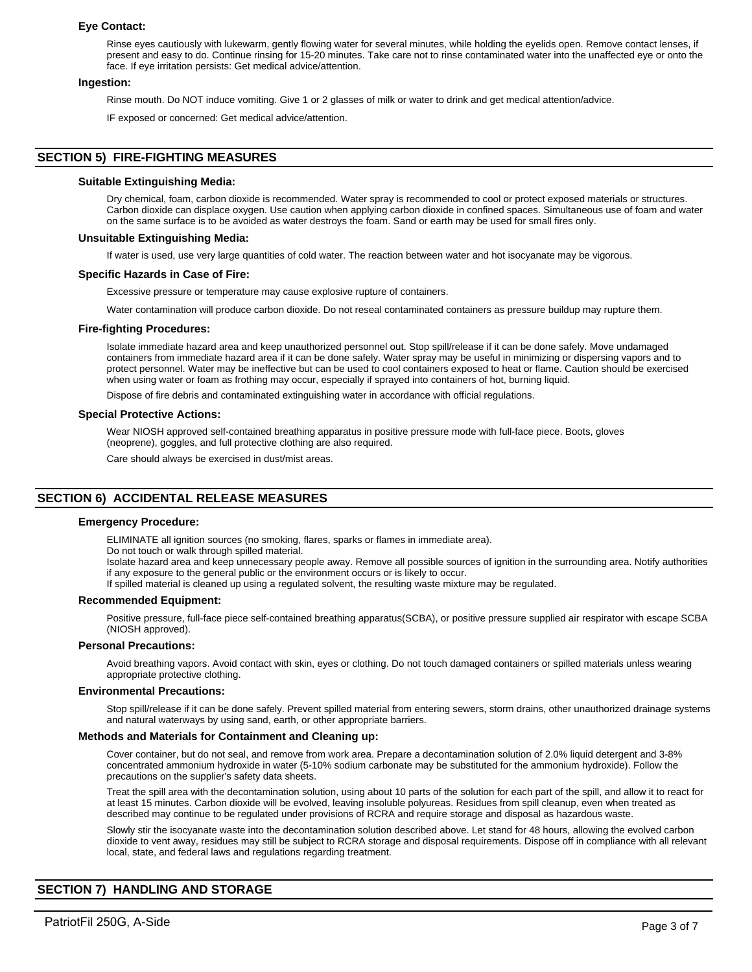#### **Eye Contact:**

Rinse eyes cautiously with lukewarm, gently flowing water for several minutes, while holding the eyelids open. Remove contact lenses, if present and easy to do. Continue rinsing for 15-20 minutes. Take care not to rinse contaminated water into the unaffected eye or onto the face. If eye irritation persists: Get medical advice/attention.

#### **Ingestion:**

Rinse mouth. Do NOT induce vomiting. Give 1 or 2 glasses of milk or water to drink and get medical attention/advice.

IF exposed or concerned: Get medical advice/attention.

# **SECTION 5) FIRE-FIGHTING MEASURES**

#### **Suitable Extinguishing Media:**

Dry chemical, foam, carbon dioxide is recommended. Water spray is recommended to cool or protect exposed materials or structures. Carbon dioxide can displace oxygen. Use caution when applying carbon dioxide in confined spaces. Simultaneous use of foam and water on the same surface is to be avoided as water destroys the foam. Sand or earth may be used for small fires only.

#### **Unsuitable Extinguishing Media:**

If water is used, use very large quantities of cold water. The reaction between water and hot isocyanate may be vigorous.

#### **Specific Hazards in Case of Fire:**

Excessive pressure or temperature may cause explosive rupture of containers.

Water contamination will produce carbon dioxide. Do not reseal contaminated containers as pressure buildup may rupture them.

#### **Fire-fighting Procedures:**

Isolate immediate hazard area and keep unauthorized personnel out. Stop spill/release if it can be done safely. Move undamaged containers from immediate hazard area if it can be done safely. Water spray may be useful in minimizing or dispersing vapors and to protect personnel. Water may be ineffective but can be used to cool containers exposed to heat or flame. Caution should be exercised when using water or foam as frothing may occur, especially if sprayed into containers of hot, burning liquid.

Dispose of fire debris and contaminated extinguishing water in accordance with official regulations.

#### **Special Protective Actions:**

Wear NIOSH approved self-contained breathing apparatus in positive pressure mode with full-face piece. Boots, gloves (neoprene), goggles, and full protective clothing are also required.

Care should always be exercised in dust/mist areas.

# **SECTION 6) ACCIDENTAL RELEASE MEASURES**

#### **Emergency Procedure:**

ELIMINATE all ignition sources (no smoking, flares, sparks or flames in immediate area).

Do not touch or walk through spilled material.

Isolate hazard area and keep unnecessary people away. Remove all possible sources of ignition in the surrounding area. Notify authorities if any exposure to the general public or the environment occurs or is likely to occur.

If spilled material is cleaned up using a regulated solvent, the resulting waste mixture may be regulated.

#### **Recommended Equipment:**

Positive pressure, full-face piece self-contained breathing apparatus(SCBA), or positive pressure supplied air respirator with escape SCBA (NIOSH approved).

#### **Personal Precautions:**

Avoid breathing vapors. Avoid contact with skin, eyes or clothing. Do not touch damaged containers or spilled materials unless wearing appropriate protective clothing.

#### **Environmental Precautions:**

Stop spill/release if it can be done safely. Prevent spilled material from entering sewers, storm drains, other unauthorized drainage systems and natural waterways by using sand, earth, or other appropriate barriers.

# **Methods and Materials for Containment and Cleaning up:**

Cover container, but do not seal, and remove from work area. Prepare a decontamination solution of 2.0% liquid detergent and 3-8% concentrated ammonium hydroxide in water (5-10% sodium carbonate may be substituted for the ammonium hydroxide). Follow the precautions on the supplier's safety data sheets.

Treat the spill area with the decontamination solution, using about 10 parts of the solution for each part of the spill, and allow it to react for at least 15 minutes. Carbon dioxide will be evolved, leaving insoluble polyureas. Residues from spill cleanup, even when treated as described may continue to be regulated under provisions of RCRA and require storage and disposal as hazardous waste.

Slowly stir the isocyanate waste into the decontamination solution described above. Let stand for 48 hours, allowing the evolved carbon dioxide to vent away, residues may still be subject to RCRA storage and disposal requirements. Dispose off in compliance with all relevant local, state, and federal laws and regulations regarding treatment.

# **SECTION 7) HANDLING AND STORAGE**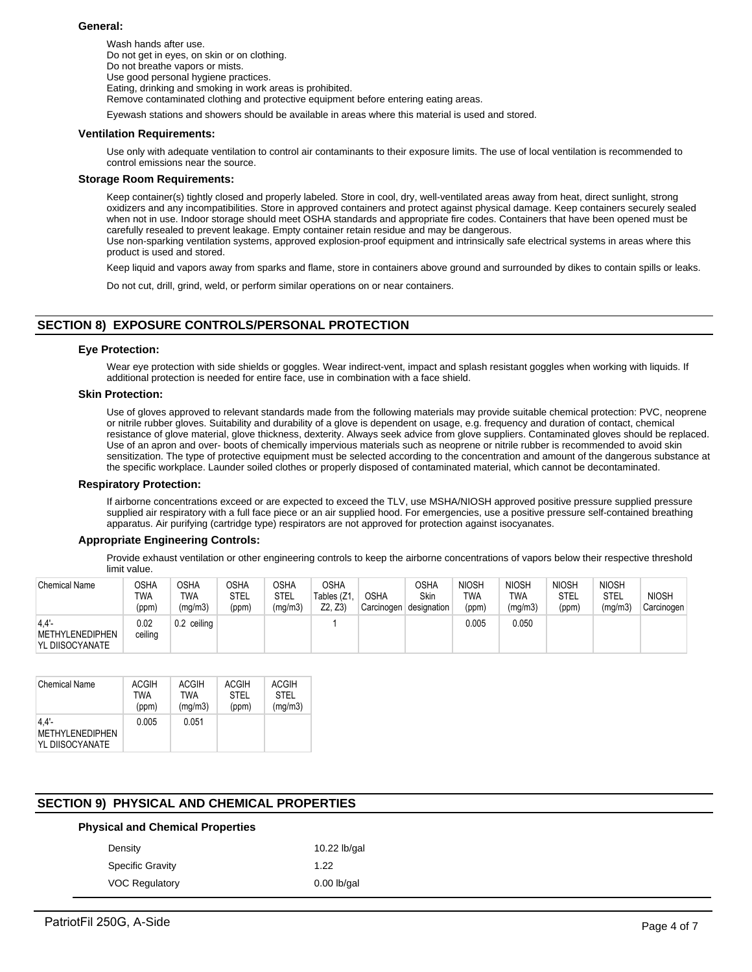#### **General:**

Wash hands after use. Do not get in eyes, on skin or on clothing. Do not breathe vapors or mists. Use good personal hygiene practices. Eating, drinking and smoking in work areas is prohibited. Remove contaminated clothing and protective equipment before entering eating areas.

Eyewash stations and showers should be available in areas where this material is used and stored.

#### **Ventilation Requirements:**

Use only with adequate ventilation to control air contaminants to their exposure limits. The use of local ventilation is recommended to control emissions near the source.

#### **Storage Room Requirements:**

Keep container(s) tightly closed and properly labeled. Store in cool, dry, well-ventilated areas away from heat, direct sunlight, strong oxidizers and any incompatibilities. Store in approved containers and protect against physical damage. Keep containers securely sealed when not in use. Indoor storage should meet OSHA standards and appropriate fire codes. Containers that have been opened must be carefully resealed to prevent leakage. Empty container retain residue and may be dangerous.

Use non-sparking ventilation systems, approved explosion-proof equipment and intrinsically safe electrical systems in areas where this product is used and stored.

Keep liquid and vapors away from sparks and flame, store in containers above ground and surrounded by dikes to contain spills or leaks.

Do not cut, drill, grind, weld, or perform similar operations on or near containers.

# **SECTION 8) EXPOSURE CONTROLS/PERSONAL PROTECTION**

#### **Eye Protection:**

Wear eye protection with side shields or goggles. Wear indirect-vent, impact and splash resistant goggles when working with liquids. If additional protection is needed for entire face, use in combination with a face shield.

#### **Skin Protection:**

Use of gloves approved to relevant standards made from the following materials may provide suitable chemical protection: PVC, neoprene or nitrile rubber gloves. Suitability and durability of a glove is dependent on usage, e.g. frequency and duration of contact, chemical resistance of glove material, glove thickness, dexterity. Always seek advice from glove suppliers. Contaminated gloves should be replaced. Use of an apron and over- boots of chemically impervious materials such as neoprene or nitrile rubber is recommended to avoid skin sensitization. The type of protective equipment must be selected according to the concentration and amount of the dangerous substance at the specific workplace. Launder soiled clothes or properly disposed of contaminated material, which cannot be decontaminated.

#### **Respiratory Protection:**

If airborne concentrations exceed or are expected to exceed the TLV, use MSHA/NIOSH approved positive pressure supplied pressure supplied air respiratory with a full face piece or an air supplied hood. For emergencies, use a positive pressure self-contained breathing apparatus. Air purifying (cartridge type) respirators are not approved for protection against isocyanates.

## **Appropriate Engineering Controls:**

Provide exhaust ventilation or other engineering controls to keep the airborne concentrations of vapors below their respective threshold limit value.

| <b>Chemical Name</b>                       | OSHA<br>TWA<br>(ppm) | OSHA<br>TWA<br>(mg/m3) | <b>OSHA</b><br>STEL<br>(ppm) | OSHA<br>STEL<br>(mg/m3) | <b>OSHA</b><br>Tables (Z1,<br>Z2. Z3 | <b>OSHA</b><br>Carcinogen | OSHA<br>Skin<br>designation | <b>NIOSH</b><br><b>TWA</b><br>(ppm) | <b>NIOSH</b><br>TWA<br>(mg/m3) | <b>NIOSH</b><br><b>STEL</b><br>(ppm) | <b>NIOSH</b><br>STEL<br>(mg/m3) | <b>NIOSH</b><br>Carcinogen |
|--------------------------------------------|----------------------|------------------------|------------------------------|-------------------------|--------------------------------------|---------------------------|-----------------------------|-------------------------------------|--------------------------------|--------------------------------------|---------------------------------|----------------------------|
| 4.4'<br>METHYLENEDIPHEN<br>YL DIISOCYANATE | 0.02<br>ceiling      | $0.2$ ceiling          |                              |                         |                                      |                           |                             | 0.005                               | 0.050                          |                                      |                                 |                            |

| <b>Chemical Name</b>                              | ACGIH | ACGIH   | <b>ACGIH</b> | ACGIH       |
|---------------------------------------------------|-------|---------|--------------|-------------|
|                                                   | TWA   | TWA     | <b>STEL</b>  | <b>STEL</b> |
|                                                   | (ppm) | (mg/m3) | (ppm)        | (mg/m3)     |
| 4.4'<br><b>METHYLENEDIPHEN</b><br>YL DIISOCYANATE | 0.005 | 0.051   |              |             |

# **SECTION 9) PHYSICAL AND CHEMICAL PROPERTIES**

## **Physical and Chemical Properties**

| 10.22 lb/gal  |
|---------------|
| 1.22          |
| $0.00$ lb/gal |
|               |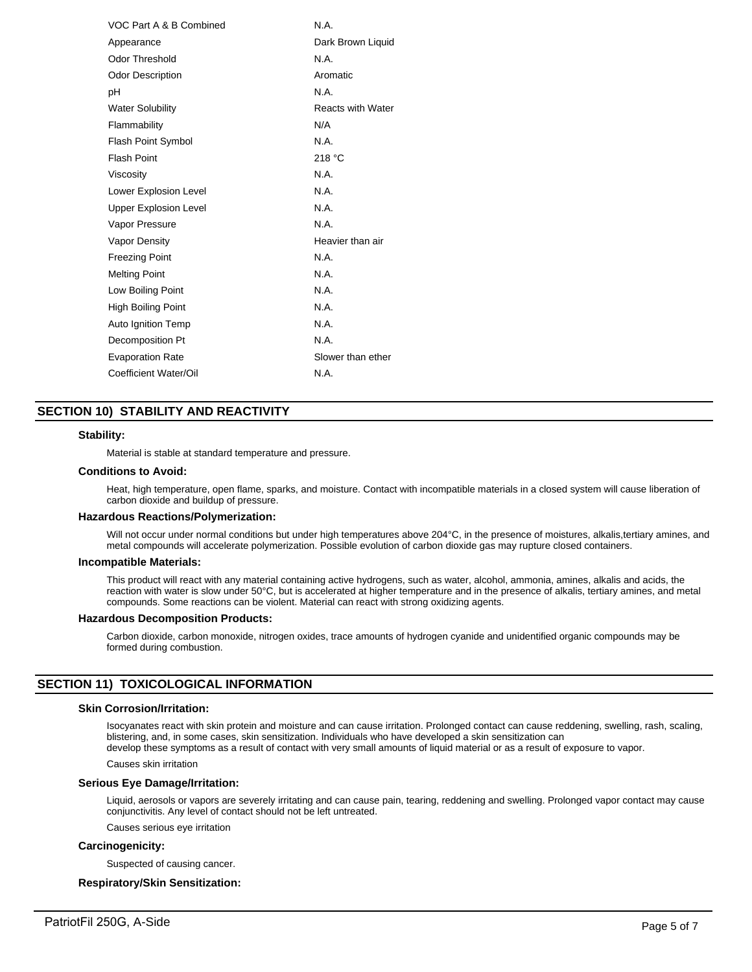| VOC Part A & B Combined      | N.A.                     |
|------------------------------|--------------------------|
| Appearance                   | Dark Brown Liquid        |
| Odor Threshold               | N.A.                     |
| <b>Odor Description</b>      | Aromatic                 |
| рH                           | N.A.                     |
| <b>Water Solubility</b>      | <b>Reacts with Water</b> |
| Flammability                 | N/A                      |
| <b>Flash Point Symbol</b>    | N.A.                     |
| <b>Flash Point</b>           | 218 °C                   |
| Viscosity                    | N.A.                     |
| Lower Explosion Level        | N.A.                     |
| <b>Upper Explosion Level</b> | N.A.                     |
| Vapor Pressure               | N.A.                     |
| Vapor Density                | Heavier than air         |
| <b>Freezing Point</b>        | N.A.                     |
| <b>Melting Point</b>         | N.A.                     |
| Low Boiling Point            | N.A.                     |
| <b>High Boiling Point</b>    | N.A.                     |
| Auto Ignition Temp           | N.A.                     |
| Decomposition Pt             | N.A.                     |
| <b>Evaporation Rate</b>      | Slower than ether        |
| Coefficient Water/Oil        | N.A.                     |

# **SECTION 10) STABILITY AND REACTIVITY**

#### **Stability:**

Material is stable at standard temperature and pressure.

#### **Conditions to Avoid:**

Heat, high temperature, open flame, sparks, and moisture. Contact with incompatible materials in a closed system will cause liberation of carbon dioxide and buildup of pressure.

#### **Hazardous Reactions/Polymerization:**

Will not occur under normal conditions but under high temperatures above 204°C, in the presence of moistures, alkalis,tertiary amines, and metal compounds will accelerate polymerization. Possible evolution of carbon dioxide gas may rupture closed containers.

#### **Incompatible Materials:**

This product will react with any material containing active hydrogens, such as water, alcohol, ammonia, amines, alkalis and acids, the reaction with water is slow under 50°C, but is accelerated at higher temperature and in the presence of alkalis, tertiary amines, and metal compounds. Some reactions can be violent. Material can react with strong oxidizing agents.

#### **Hazardous Decomposition Products:**

Carbon dioxide, carbon monoxide, nitrogen oxides, trace amounts of hydrogen cyanide and unidentified organic compounds may be formed during combustion.

# **SECTION 11) TOXICOLOGICAL INFORMATION**

#### **Skin Corrosion/Irritation:**

Isocyanates react with skin protein and moisture and can cause irritation. Prolonged contact can cause reddening, swelling, rash, scaling, blistering, and, in some cases, skin sensitization. Individuals who have developed a skin sensitization can develop these symptoms as a result of contact with very small amounts of liquid material or as a result of exposure to vapor.

Causes skin irritation

#### **Serious Eye Damage/Irritation:**

Liquid, aerosols or vapors are severely irritating and can cause pain, tearing, reddening and swelling. Prolonged vapor contact may cause conjunctivitis. Any level of contact should not be left untreated.

Causes serious eye irritation

#### **Carcinogenicity:**

Suspected of causing cancer.

# **Respiratory/Skin Sensitization:**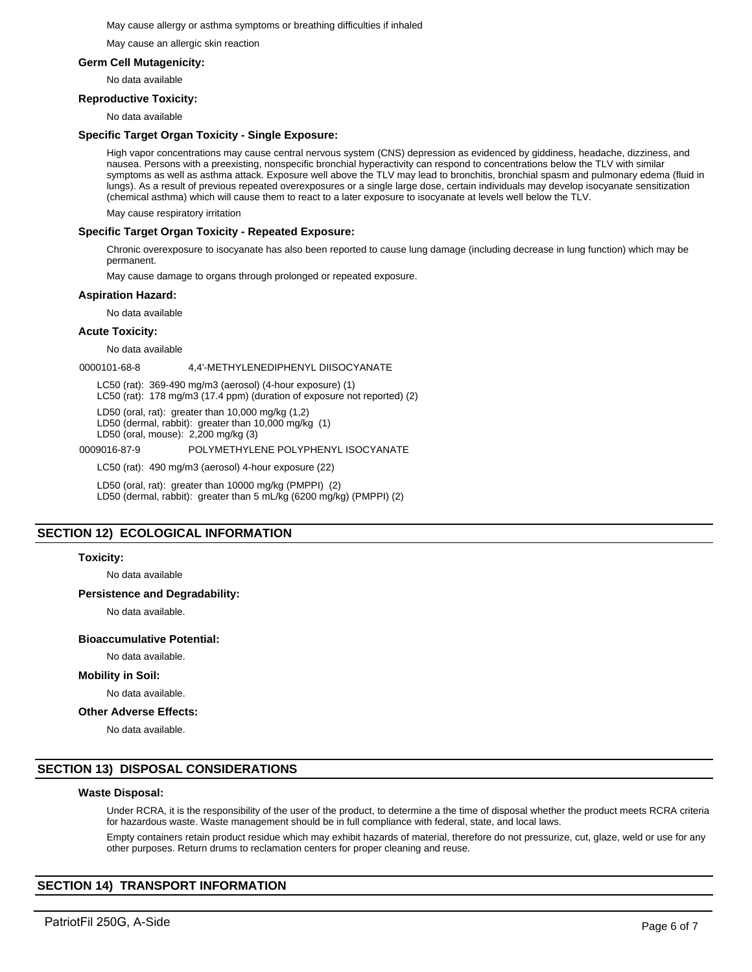#### May cause allergy or asthma symptoms or breathing difficulties if inhaled

May cause an allergic skin reaction

## **Germ Cell Mutagenicity:**

No data available

## **Reproductive Toxicity:**

No data available

## **Specific Target Organ Toxicity - Single Exposure:**

High vapor concentrations may cause central nervous system (CNS) depression as evidenced by giddiness, headache, dizziness, and nausea. Persons with a preexisting, nonspecific bronchial hyperactivity can respond to concentrations below the TLV with similar symptoms as well as asthma attack. Exposure well above the TLV may lead to bronchitis, bronchial spasm and pulmonary edema (fluid in lungs). As a result of previous repeated overexposures or a single large dose, certain individuals may develop isocyanate sensitization (chemical asthma) which will cause them to react to a later exposure to isocyanate at levels well below the TLV.

May cause respiratory irritation

## **Specific Target Organ Toxicity - Repeated Exposure:**

Chronic overexposure to isocyanate has also been reported to cause lung damage (including decrease in lung function) which may be permanent.

May cause damage to organs through prolonged or repeated exposure.

## **Aspiration Hazard:**

No data available

## **Acute Toxicity:**

No data available

0000101-68-8 4,4'-METHYLENEDIPHENYL DIISOCYANATE

LC50 (rat): 369-490 mg/m3 (aerosol) (4-hour exposure) (1)

LC50 (rat): 178 mg/m3 (17.4 ppm) (duration of exposure not reported) (2)

LD50 (oral, rat): greater than 10,000 mg/kg (1,2)

LD50 (dermal, rabbit): greater than 10,000 mg/kg (1)

LD50 (oral, mouse): 2,200 mg/kg (3)

#### 0009016-87-9 POLYMETHYLENE POLYPHENYL ISOCYANATE

LC50 (rat): 490 mg/m3 (aerosol) 4-hour exposure (22)

LD50 (oral, rat): greater than 10000 mg/kg (PMPPI) (2) LD50 (dermal, rabbit): greater than 5 mL/kg (6200 mg/kg) (PMPPI) (2)

# **SECTION 12) ECOLOGICAL INFORMATION**

## **Toxicity:**

No data available

## **Persistence and Degradability:**

No data available.

## **Bioaccumulative Potential:**

No data available.

## **Mobility in Soil:**

No data available.

#### **Other Adverse Effects:**

No data available.

# **SECTION 13) DISPOSAL CONSIDERATIONS**

#### **Waste Disposal:**

Under RCRA, it is the responsibility of the user of the product, to determine a the time of disposal whether the product meets RCRA criteria for hazardous waste. Waste management should be in full compliance with federal, state, and local laws.

Empty containers retain product residue which may exhibit hazards of material, therefore do not pressurize, cut, glaze, weld or use for any other purposes. Return drums to reclamation centers for proper cleaning and reuse.

# **SECTION 14) TRANSPORT INFORMATION**